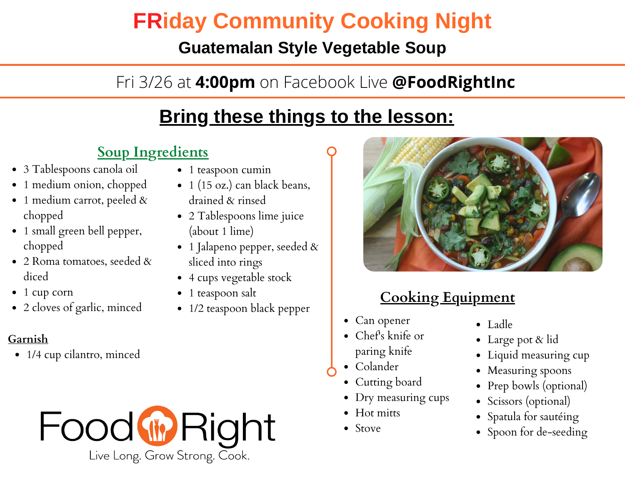## **FRiday Community Cooking Night**

#### **Guatemalan Style Vegetable Soup**

## Fri 3/26 at **4:00pm** on Facebook Live **@FoodRightInc**

## **Bring these things to the lesson:**

#### **[Soup Ingredients](https://www.foodright.org/post/guatemalan-style-veggie-soup)**

- 3 Tablespoons canola oil
- 1 medium onion, chopped
- 1 medium carrot, peeled & chopped
- 1 small green bell pepper, chopped
- 2 Roma tomatoes, seeded & diced
- 1 cup corn
- 2 cloves of garlic, minced

#### **Garnish**

• 1/4 cup cilantro, minced



- 1 teaspoon cumin
- 1 (15 oz.) can black beans, drained & rinsed
- 2 Tablespoons lime juice (about 1 lime)
- 1 Jalapeno pepper, seeded  $\&$ sliced into rings
- 4 cups vegetable stock
- 1 teaspoon salt
- 1/2 teaspoon black pepper



#### **Cooking Equipment**

- Can opener
- Chef's knife or paring knife
- Colander
- Cutting board
- Dry measuring cups
- Hot mitts
- Stove
- Ladle
- Large pot & lid
- Liquid measuring cup
- Measuring spoons
- Prep bowls (optional)
- Scissors (optional)
- Spatula for sautéing
- Spoon for de-seeding